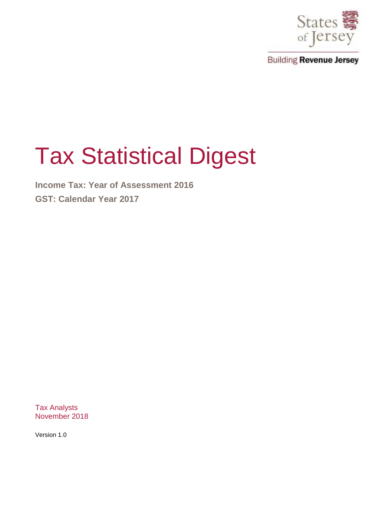

# Tax Statistical Digest

**Income Tax: Year of Assessment 2016 GST: Calendar Year 2017** 

Tax Analysts November 2018

Version 1.0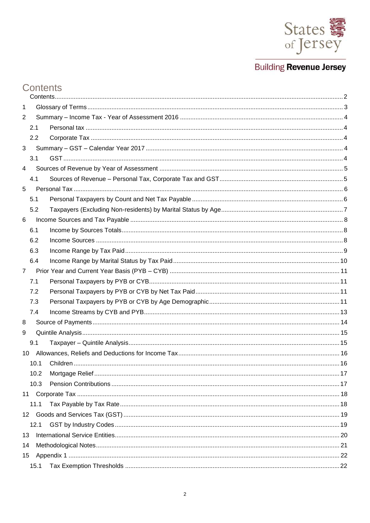

# <span id="page-1-0"></span>Contents

| 1               |      |  |
|-----------------|------|--|
| 2               |      |  |
|                 | 2.1  |  |
|                 | 2.2  |  |
| 3               |      |  |
|                 | 3.1  |  |
| 4               |      |  |
|                 | 4.1  |  |
| 5               |      |  |
|                 | 5.1  |  |
|                 | 5.2  |  |
| 6               |      |  |
|                 | 6.1  |  |
|                 | 6.2  |  |
|                 | 6.3  |  |
|                 | 6.4  |  |
| $\overline{7}$  |      |  |
|                 | 7.1  |  |
|                 | 7.2  |  |
|                 | 7.3  |  |
|                 | 7.4  |  |
| 8               |      |  |
| 9               |      |  |
|                 | 9.1  |  |
| 10 <sup>°</sup> |      |  |
|                 | 10.1 |  |
|                 | 10.2 |  |
|                 | 10.3 |  |
|                 |      |  |
|                 | 11.1 |  |
|                 |      |  |
|                 | 12.1 |  |
| 13              |      |  |
| 14              |      |  |
| 15 <sub>1</sub> |      |  |
|                 | 15.1 |  |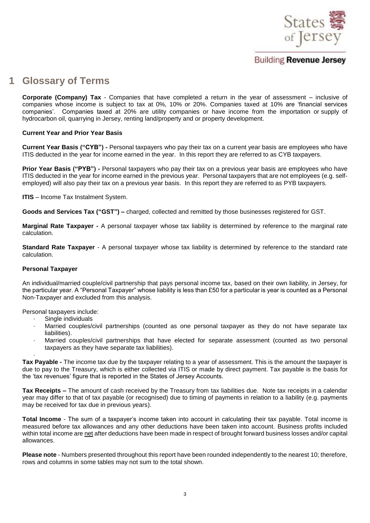

# <span id="page-2-0"></span>**1 Glossary of Terms**

**Corporate (Company) Tax** - Companies that have completed a return in the year of assessment – inclusive of companies whose income is subject to tax at 0%, 10% or 20%. Companies taxed at 10% are 'financial services companies'. Companies taxed at 20% are utility companies or have income from the importation or supply of hydrocarbon oil, quarrying in Jersey, renting land/property and or property development.

#### **Current Year and Prior Year Basis**

**Current Year Basis ("CYB") -** Personal taxpayers who pay their tax on a current year basis are employees who have ITIS deducted in the year for income earned in the year. In this report they are referred to as CYB taxpayers.

**Prior Year Basis ("PYB") -** Personal taxpayers who pay their tax on a previous year basis are employees who have ITIS deducted in the year for income earned in the previous year. Personal taxpayers that are not employees (e.g. selfemployed) will also pay their tax on a previous year basis. In this report they are referred to as PYB taxpayers.

**ITIS** – Income Tax Instalment System.

**Goods and Services Tax ("GST") –** charged, collected and remitted by those businesses registered for GST.

**Marginal Rate Taxpayer -** A personal taxpayer whose tax liability is determined by reference to the marginal rate calculation.

**Standard Rate Taxpayer** - A personal taxpayer whose tax liability is determined by reference to the standard rate calculation.

#### **Personal Taxpayer**

An individual/married couple/civil partnership that pays personal income tax, based on their own liability, in Jersey, for the particular year. A "Personal Taxpayer" whose liability is less than £50 for a particular is year is counted as a Personal Non-Taxpayer and excluded from this analysis.

Personal taxpayers include:

- Single individuals
- Married couples/civil partnerships (counted as one personal taxpayer as they do not have separate tax liabilities).
- Married couples/civil partnerships that have elected for separate assessment (counted as two personal taxpayers as they have separate tax liabilities).

· **Tax Payable -** The income tax due by the taxpayer relating to a year of assessment. This is the amount the taxpayer is due to pay to the Treasury, which is either collected via ITIS or made by direct payment. Tax payable is the basis for the 'tax revenues' figure that is reported in the States of Jersey Accounts.

**Tax Receipts –** The amount of cash received by the Treasury from tax liabilities due. Note tax receipts in a calendar year may differ to that of tax payable (or recognised) due to timing of payments in relation to a liability (e.g. payments may be received for tax due in previous years).

**Total Income** - The sum of a taxpayer's income taken into account in calculating their tax payable. Total income is measured before tax allowances and any other deductions have been taken into account. Business profits included within total income are net after deductions have been made in respect of brought forward business losses and/or capital allowances.

**Please note** - Numbers presented throughout this report have been rounded independently to the nearest 10; therefore, rows and columns in some tables may not sum to the total shown.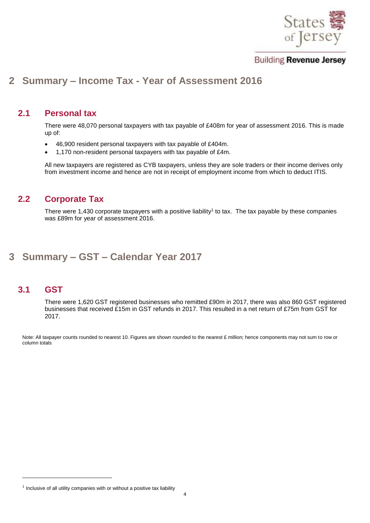

# <span id="page-3-0"></span>**2 Summary – Income Tax - Year of Assessment 2016**

#### <span id="page-3-1"></span>**2.1 Personal tax**

There were 48,070 personal taxpayers with tax payable of £408m for year of assessment 2016. This is made up of:

- 46,900 resident personal taxpayers with tax payable of £404m.
- 1,170 non-resident personal taxpayers with tax payable of £4m.

All new taxpayers are registered as CYB taxpayers, unless they are sole traders or their income derives only from investment income and hence are not in receipt of employment income from which to deduct ITIS.

#### <span id="page-3-2"></span>**2.2 Corporate Tax**

There were 1,430 corporate taxpayers with a positive liability<sup>1</sup> to tax. The tax payable by these companies was £89m for year of assessment 2016.

# <span id="page-3-3"></span>**3 Summary – GST – Calendar Year 2017**

#### <span id="page-3-4"></span>**3.1 GST**

-

There were 1,620 GST registered businesses who remitted £90m in 2017, there was also 860 GST registered businesses that received £15m in GST refunds in 2017. This resulted in a net return of £75m from GST for 2017.

Note: All taxpayer counts rounded to nearest 10. Figures are shown rounded to the nearest £ million; hence components may not sum to row or column totals

 $1$  Inclusive of all utility companies with or without a positive tax liability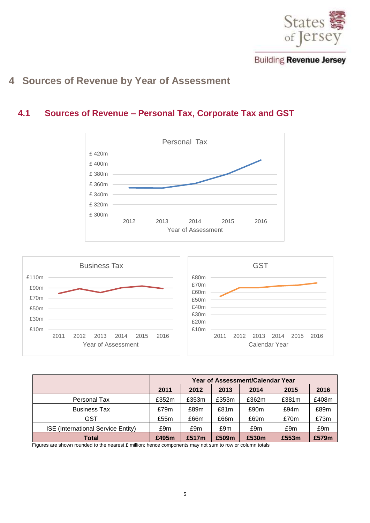

# <span id="page-4-0"></span>**4 Sources of Revenue by Year of Assessment**

#### <span id="page-4-1"></span>**4.1 Sources of Revenue – Personal Tax, Corporate Tax and GST**





|                                    | <b>Year of Assessment/Calendar Year</b> |       |       |       |       |       |  |  |
|------------------------------------|-----------------------------------------|-------|-------|-------|-------|-------|--|--|
|                                    | 2011                                    | 2012  | 2013  | 2014  | 2015  | 2016  |  |  |
| Personal Tax                       | £352m                                   | £353m | £353m | £362m | £381m | £408m |  |  |
| <b>Business Tax</b>                | £79m                                    | £89m  | £81m  | £90m  | £94m  | £89m  |  |  |
| GST                                | £55m                                    | £66m  | £66m  | £69m  | £70m  | £73m  |  |  |
| ISE (International Service Entity) | £9m                                     | £9m   | £9m   | £9m   | £9m   | £9m   |  |  |
| <b>Total</b>                       | £495m                                   | £517m | £509m | £530m | £553m | £579m |  |  |

Figures are shown rounded to the nearest £ million; hence components may not sum to row or column totals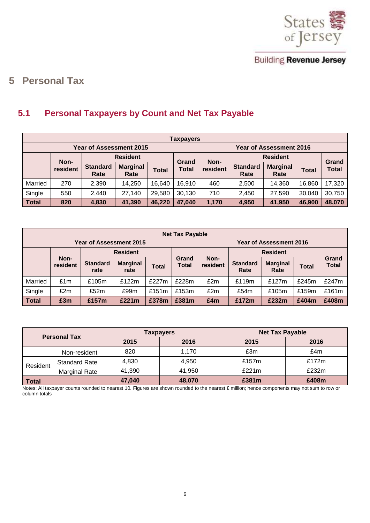

# <span id="page-5-0"></span>**5 Personal Tax**

# <span id="page-5-1"></span>**5.1 Personal Taxpayers by Count and Net Tax Payable**

|              | <b>Taxpayers</b>               |                         |                         |              |                |          |                         |                                |              |                       |  |
|--------------|--------------------------------|-------------------------|-------------------------|--------------|----------------|----------|-------------------------|--------------------------------|--------------|-----------------------|--|
|              | <b>Year of Assessment 2015</b> |                         |                         |              |                |          |                         | <b>Year of Assessment 2016</b> |              |                       |  |
|              |                                |                         | <b>Resident</b>         |              |                | Non-     |                         | <b>Resident</b>                |              |                       |  |
|              | Non-<br>resident               | <b>Standard</b><br>Rate | <b>Marginal</b><br>Rate | <b>Total</b> | Grand<br>Total | resident | <b>Standard</b><br>Rate | <b>Marginal</b><br>Rate        | <b>Total</b> | Grand<br><b>Total</b> |  |
| Married      | 270                            | 2,390                   | 14,250                  | 16,640       | 16,910         | 460      | 2,500                   | 14,360                         | 16,860       | 17,320                |  |
| Single       | 550                            | 2,440                   | 27,140                  | 29,580       | 30,130         | 710      | 2,450                   | 27,590                         | 30,040       | 30,750                |  |
| <b>Total</b> | 820                            | 4,830                   | 41,390                  | 46,220       | 47,040         | 1,170    | 4,950                   | 41,950                         | 46,900       | 48,070                |  |

|              | <b>Net Tax Payable</b>         |                         |                         |          |                |                  |                         |                         |       |                       |  |
|--------------|--------------------------------|-------------------------|-------------------------|----------|----------------|------------------|-------------------------|-------------------------|-------|-----------------------|--|
|              | <b>Year of Assessment 2015</b> |                         |                         |          |                |                  |                         | Year of Assessment 2016 |       |                       |  |
|              |                                |                         | <b>Resident</b>         |          |                |                  |                         | <b>Resident</b>         |       |                       |  |
|              | Non-<br>resident               | <b>Standard</b><br>rate | <b>Marginal</b><br>rate | Total    | Grand<br>Total | Non-<br>resident | <b>Standard</b><br>Rate | <b>Marginal</b><br>Rate | Total | Grand<br><b>Total</b> |  |
| Married      | £1m                            | £105m                   | £122m                   | £227 $m$ | £228m          | £2m              | £119m                   | £127m                   | £245m | £247m                 |  |
| Single       | £2m                            | £52m                    | £99m                    | £151 $m$ | £153m          | £2m              | £54m                    | £105m                   | £159m | £161m                 |  |
| <b>Total</b> | £3m                            | £157m                   | £221m                   | £378m    | £381m          | £4m              | £172m                   | £232m                   | £404m | £408m                 |  |

| <b>Personal Tax</b> |                      |        | Taxpayers | <b>Net Tax Payable</b> |       |  |
|---------------------|----------------------|--------|-----------|------------------------|-------|--|
|                     |                      | 2015   | 2016      | 2015                   | 2016  |  |
| Non-resident        |                      | 820    | 1,170     | £3m                    | £4m   |  |
| Resident            | <b>Standard Rate</b> | 4,830  | 4,950     | £157m                  | £172m |  |
|                     | Marginal Rate        | 41,390 | 41,950    | £221m                  | £232m |  |
| <b>Total</b>        |                      | 47,040 | 48,070    | £381m                  | £408m |  |

Notes: All taxpayer counts rounded to nearest 10. Figures are shown rounded to the nearest £ million; hence components may not sum to row or column totals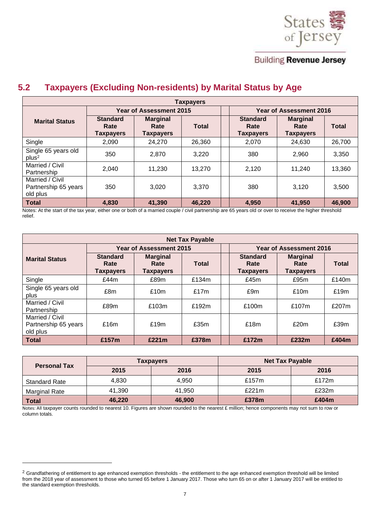

### <span id="page-6-0"></span>**5.2 Taxpayers (Excluding Non-residents) by Marital Status by Age**

|                                                     | Taxpayers                                   |                                      |        |  |                                             |                                             |              |  |  |  |  |
|-----------------------------------------------------|---------------------------------------------|--------------------------------------|--------|--|---------------------------------------------|---------------------------------------------|--------------|--|--|--|--|
|                                                     | <b>Year of Assessment 2015</b>              |                                      |        |  | <b>Year of Assessment 2016</b>              |                                             |              |  |  |  |  |
| <b>Marital Status</b>                               | <b>Standard</b><br>Rate<br><b>Taxpayers</b> | <b>Marginal</b><br>Rate<br>Taxpayers | Total  |  | <b>Standard</b><br>Rate<br><b>Taxpayers</b> | <b>Marginal</b><br>Rate<br><b>Taxpayers</b> | <b>Total</b> |  |  |  |  |
| Single                                              | 2.090                                       | 24,270                               | 26,360 |  | 2.070                                       | 24,630                                      | 26,700       |  |  |  |  |
| Single 65 years old<br>plus <sup>2</sup>            | 350                                         | 2.870                                | 3.220  |  | 380                                         | 2.960                                       | 3,350        |  |  |  |  |
| Married / Civil<br>Partnership                      | 2.040                                       | 11,230                               | 13.270 |  | 2,120                                       | 11,240                                      | 13,360       |  |  |  |  |
| Married / Civil<br>Partnership 65 years<br>old plus | 350                                         | 3.020                                | 3.370  |  | 380                                         | 3.120                                       | 3,500        |  |  |  |  |
| <b>Total</b>                                        | 4.830                                       | 41,390                               | 46,220 |  | 4.950                                       | 41,950                                      | 46,900       |  |  |  |  |

Notes: At the start of the tax year, either one or both of a married couple / civil partnership are 65 years old or over to receive the higher threshold relief.

| <b>Net Tax Payable</b>                              |                                             |                                             |              |                         |                                             |                                             |              |  |  |  |
|-----------------------------------------------------|---------------------------------------------|---------------------------------------------|--------------|-------------------------|---------------------------------------------|---------------------------------------------|--------------|--|--|--|
|                                                     |                                             | Year of Assessment 2015                     |              | Year of Assessment 2016 |                                             |                                             |              |  |  |  |
| <b>Marital Status</b>                               | <b>Standard</b><br>Rate<br><b>Taxpayers</b> | <b>Marginal</b><br>Rate<br><b>Taxpayers</b> | <b>Total</b> |                         | <b>Standard</b><br>Rate<br><b>Taxpayers</b> | <b>Marginal</b><br>Rate<br><b>Taxpayers</b> | <b>Total</b> |  |  |  |
| Single                                              | £44m                                        | £89m                                        | £134m        |                         | £45m                                        | £95m                                        | £140m        |  |  |  |
| Single 65 years old<br>plus                         | £8m                                         | £10m                                        | £17m         |                         | £9m                                         | £10m                                        | £19m         |  |  |  |
| Married / Civil<br>Partnership                      | £89m                                        | £103m                                       | £192m        |                         | £100m                                       | £107m                                       | £207m        |  |  |  |
| Married / Civil<br>Partnership 65 years<br>old plus | £16m                                        | £19m                                        | £35m         |                         | £18m                                        | £20m                                        | £39m         |  |  |  |
| <b>Total</b>                                        | £157m                                       | £221m                                       | £378m        |                         | £172m                                       | £232m                                       | £404m        |  |  |  |

| <b>Personal Tax</b>  |        | <b>Taxpayers</b> | <b>Net Tax Payable</b> |          |  |
|----------------------|--------|------------------|------------------------|----------|--|
|                      | 2015   | 2016             | 2015                   | 2016     |  |
| <b>Standard Rate</b> | 4.830  | 4.950            | £157 $m$               | £172 $m$ |  |
| Marginal Rate        | 41,390 | 41.950           | £221 $m$               | £232m    |  |
| <b>Total</b>         | 46,220 | 46,900           | £378m                  | £404m    |  |

Notes: All taxpayer counts rounded to nearest 10. Figures are shown rounded to the nearest £ million; hence components may not sum to row or column totals.

1

<sup>&</sup>lt;sup>2</sup> Grandfathering of entitlement to age enhanced exemption thresholds - the entitlement to the age enhanced exemption threshold will be limited from the 2018 year of assessment to those who turned 65 before 1 January 2017. Those who turn 65 on or after 1 January 2017 will be entitled to the standard exemption thresholds.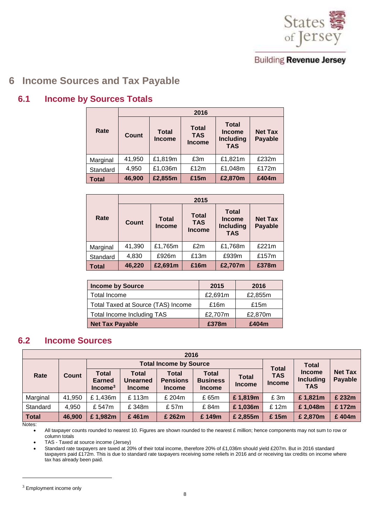

# <span id="page-7-0"></span>**6 Income Sources and Tax Payable**

#### <span id="page-7-1"></span>**6.1 Income by Sources Totals**

|              | 2016   |                               |                                             |                                                                 |                                  |  |  |  |  |
|--------------|--------|-------------------------------|---------------------------------------------|-----------------------------------------------------------------|----------------------------------|--|--|--|--|
| Rate         | Count  | <b>Total</b><br><b>Income</b> | <b>Total</b><br><b>TAS</b><br><b>Income</b> | <b>Total</b><br><b>Income</b><br><b>Including</b><br><b>TAS</b> | <b>Net Tax</b><br><b>Payable</b> |  |  |  |  |
| Marginal     | 41,950 | £1,819m                       | £3m                                         | £1,821m                                                         | £232m                            |  |  |  |  |
| Standard     | 4,950  | £1,036m                       | £12m                                        | £1,048m                                                         | £172m                            |  |  |  |  |
| <b>Total</b> | 46,900 | £2,855m                       | £15m                                        | £2,870m                                                         | £404m                            |  |  |  |  |

|              | 2015   |                               |                                             |                                                                 |                                  |  |  |  |  |
|--------------|--------|-------------------------------|---------------------------------------------|-----------------------------------------------------------------|----------------------------------|--|--|--|--|
| Rate         | Count  | <b>Total</b><br><b>Income</b> | <b>Total</b><br><b>TAS</b><br><b>Income</b> | <b>Total</b><br><b>Income</b><br><b>Including</b><br><b>TAS</b> | <b>Net Tax</b><br><b>Payable</b> |  |  |  |  |
| Marginal     | 41,390 | £1,765m                       | £2m                                         | £1,768m                                                         | £221m                            |  |  |  |  |
| Standard     | 4,830  | £926m                         | £13m                                        | £939m                                                           | £157m                            |  |  |  |  |
| <b>Total</b> | 46,220 | £2,691m                       | £16m                                        | £2,707m                                                         | £378m                            |  |  |  |  |

| <b>Income by Source</b>            | 2015    | 2016    |
|------------------------------------|---------|---------|
| Total Income                       | £2,691m | £2,855m |
| Total Taxed at Source (TAS) Income | £16m    | £15m    |
| Total Income Including TAS         | £2,707m | £2,870m |
| <b>Net Tax Payable</b>             | £378m   | £404m   |

#### <span id="page-7-2"></span>**6.2 Income Sources**

|                          | 2016   |                                     |                                           |                                           |                                           |                               |                             |                                                 |                           |  |  |  |
|--------------------------|--------|-------------------------------------|-------------------------------------------|-------------------------------------------|-------------------------------------------|-------------------------------|-----------------------------|-------------------------------------------------|---------------------------|--|--|--|
|                          |        |                                     |                                           | <b>Total Income by Source</b>             |                                           | <b>Total</b>                  | <b>Total</b>                |                                                 |                           |  |  |  |
| Rate                     | Count  | Total<br><b>Earned</b><br>$Income3$ | Total<br><b>Unearned</b><br><b>Income</b> | Total<br><b>Pensions</b><br><b>Income</b> | Total<br><b>Business</b><br><b>Income</b> | <b>Total</b><br><b>Income</b> | <b>TAS</b><br><b>Income</b> | <b>Income</b><br><b>Including</b><br><b>TAS</b> | <b>Net Tax</b><br>Payable |  |  |  |
| Marginal                 | 41,950 | £1,436m                             | £113m                                     | £ 204m                                    | £ 65m                                     | £1,819m                       | £ 3m                        | £1,821m                                         | £ 232m                    |  |  |  |
| Standard                 | 4,950  | £ 547m                              | £348m                                     | £ 57m                                     | £84m                                      | £1,036m                       | £12m                        | £1,048m                                         | £172m                     |  |  |  |
| <b>Total</b><br>$\cdots$ | 46,900 | £1,982m                             | £461m                                     | £ 262m                                    | £149m                                     | £2,855m                       | £15m                        | £ 2,870m                                        | £404m                     |  |  |  |

Notes:

1

All taxpayer counts rounded to nearest 10. Figures are shown rounded to the nearest £ million; hence components may not sum to row or column totals

TAS - Taxed at source income (Jersey)

 Standard rate taxpayers are taxed at 20% of their total income, therefore 20% of £1,036m should yield £207m. But in 2016 standard taxpayers paid £172m. This is due to standard rate taxpayers receiving some reliefs in 2016 and or receiving tax credits on income where tax has already been paid.

 $3$  Employment income only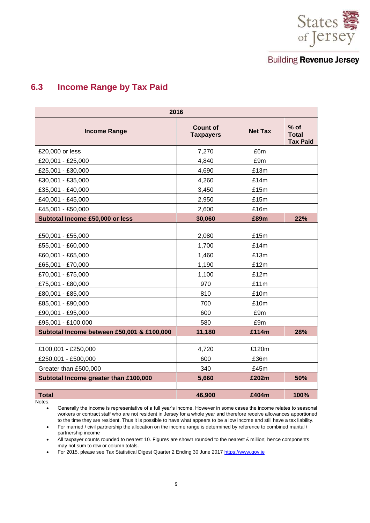

## <span id="page-8-0"></span>**6.3 Income Range by Tax Paid**

| 2016                                       |                              |                |                                           |  |  |  |  |  |  |  |
|--------------------------------------------|------------------------------|----------------|-------------------------------------------|--|--|--|--|--|--|--|
| <b>Income Range</b>                        | Count of<br><b>Taxpayers</b> | <b>Net Tax</b> | $%$ of<br><b>Total</b><br><b>Tax Paid</b> |  |  |  |  |  |  |  |
| £20,000 or less                            | 7,270                        | £6m            |                                           |  |  |  |  |  |  |  |
| £20,001 - £25,000                          | 4,840                        | £9m            |                                           |  |  |  |  |  |  |  |
| £25,001 - £30,000                          | 4,690                        | £13m           |                                           |  |  |  |  |  |  |  |
| £30,001 - £35,000                          | 4,260                        | £14m           |                                           |  |  |  |  |  |  |  |
| £35,001 - £40,000                          | 3,450                        | £15m           |                                           |  |  |  |  |  |  |  |
| £40,001 - £45,000                          | 2,950                        | £15m           |                                           |  |  |  |  |  |  |  |
| £45,001 - £50,000                          | 2,600                        | £16m           |                                           |  |  |  |  |  |  |  |
| Subtotal Income £50,000 or less            | 30,060                       | £89m           | 22%                                       |  |  |  |  |  |  |  |
|                                            |                              |                |                                           |  |  |  |  |  |  |  |
| £50,001 - £55,000                          | 2,080                        | £15m           |                                           |  |  |  |  |  |  |  |
| £55,001 - £60,000                          | 1,700                        | £14m           |                                           |  |  |  |  |  |  |  |
| £60,001 - £65,000                          | 1,460                        | £13m           |                                           |  |  |  |  |  |  |  |
| £65,001 - £70,000                          | 1,190                        | £12m           |                                           |  |  |  |  |  |  |  |
| £70,001 - £75,000                          | 1,100                        | £12m           |                                           |  |  |  |  |  |  |  |
| £75,001 - £80,000                          | 970                          | £11m           |                                           |  |  |  |  |  |  |  |
| £80,001 - £85,000                          | 810                          | £10m           |                                           |  |  |  |  |  |  |  |
| £85,001 - £90,000                          | 700                          | £10m           |                                           |  |  |  |  |  |  |  |
| £90,001 - £95,000                          | 600                          | £9m            |                                           |  |  |  |  |  |  |  |
| £95,001 - £100,000                         | 580                          | £9m            |                                           |  |  |  |  |  |  |  |
| Subtotal Income between £50,001 & £100,000 | 11,180                       | £114m          | 28%                                       |  |  |  |  |  |  |  |
| £100,001 - £250,000                        | 4,720                        | £120m          |                                           |  |  |  |  |  |  |  |
| £250,001 - £500,000                        | 600                          | £36m           |                                           |  |  |  |  |  |  |  |
| Greater than £500,000                      | 340                          | £45m           |                                           |  |  |  |  |  |  |  |
| Subtotal Income greater than £100,000      | 5,660                        | £202m          | 50%                                       |  |  |  |  |  |  |  |
|                                            |                              |                |                                           |  |  |  |  |  |  |  |
| <b>Total</b>                               | 46,900                       | £404m          | 100%                                      |  |  |  |  |  |  |  |

Notes:

 Generally the income is representative of a full year's income. However in some cases the income relates to seasonal workers or contract staff who are not resident in Jersey for a whole year and therefore receive allowances apportioned to the time they are resident. Thus it is possible to have what appears to be a low income and still have a tax liability.

 For married / civil partnership the allocation on the income range is determined by reference to combined marital / partnership income

All taxpayer counts rounded to nearest 10. Figures are shown rounded to the nearest  $E$  million; hence components may not sum to row or column totals.

• For 2015, please see Tax Statistical Digest Quarter 2 Ending 30 June 2017 https://www.gov.je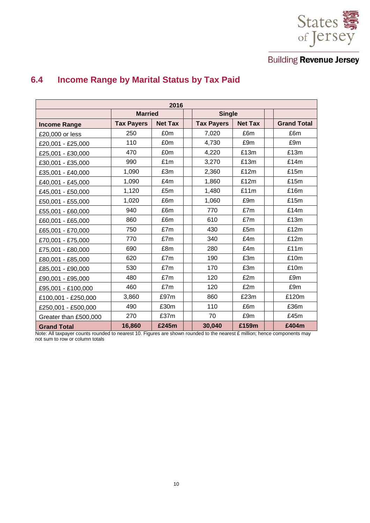

| 2016                  |                   |                |  |                   |                |  |                    |  |  |  |  |
|-----------------------|-------------------|----------------|--|-------------------|----------------|--|--------------------|--|--|--|--|
|                       | <b>Married</b>    |                |  | <b>Single</b>     |                |  |                    |  |  |  |  |
| <b>Income Range</b>   | <b>Tax Payers</b> | <b>Net Tax</b> |  | <b>Tax Payers</b> | <b>Net Tax</b> |  | <b>Grand Total</b> |  |  |  |  |
| £20,000 or less       | 250               | £0m            |  | 7,020             | £6m            |  | £6m                |  |  |  |  |
| £20,001 - £25,000     | 110               | £0m            |  | 4,730             | £9m            |  | £9m                |  |  |  |  |
| £25,001 - £30,000     | 470               | £0m            |  | 4,220             | £13m           |  | £13m               |  |  |  |  |
| £30,001 - £35,000     | 990               | £1m            |  | 3,270             | £13m           |  | £14m               |  |  |  |  |
| £35,001 - £40,000     | 1,090             | £3m            |  | 2,360             | £12m           |  | £15m               |  |  |  |  |
| £40,001 - £45,000     | 1,090             | £4m            |  | 1,860             | £12m           |  | £15m               |  |  |  |  |
| £45,001 - £50,000     | 1,120             | £5m            |  | 1,480             | £11m           |  | £16m               |  |  |  |  |
| £50,001 - £55,000     | 1,020             | £6m            |  | 1,060             | £9m            |  | £15m               |  |  |  |  |
| £55,001 - £60,000     | 940               | £6m            |  | 770               | £7m            |  | £14m               |  |  |  |  |
| £60,001 - £65,000     | 860               | £6m            |  | 610               | £7m            |  | £13m               |  |  |  |  |
| £65,001 - £70,000     | 750               | £7m            |  | 430               | £5m            |  | £12m               |  |  |  |  |
| £70,001 - £75,000     | 770               | £7m            |  | 340               | £4m            |  | £12m               |  |  |  |  |
| £75,001 - £80,000     | 690               | £8m            |  | 280               | £4m            |  | £11m               |  |  |  |  |
| £80,001 - £85,000     | 620               | £7m            |  | 190               | £3m            |  | £10m               |  |  |  |  |
| £85,001 - £90,000     | 530               | £7m            |  | 170               | £3m            |  | £10m               |  |  |  |  |
| £90,001 - £95,000     | 480               | £7m            |  | 120               | £2m            |  | £9m                |  |  |  |  |
| £95,001 - £100,000    | 460               | £7m            |  | 120               | £2m            |  | £9m                |  |  |  |  |
| £100,001 - £250,000   | 3,860             | £97m           |  | 860               | £23m           |  | £120m              |  |  |  |  |
| £250,001 - £500,000   | 490               | £30m           |  | 110               | £6m            |  | £36m               |  |  |  |  |
| Greater than £500,000 | 270               | £37m           |  | 70                | £9m            |  | £45m               |  |  |  |  |
| <b>Grand Total</b>    | 16,860            | £245m          |  | 30,040            | £159m          |  | £404m              |  |  |  |  |

# <span id="page-9-0"></span>**6.4 Income Range by Marital Status by Tax Paid**

Note: All taxpayer counts rounded to nearest 10. Figures are shown rounded to the nearest £ million; hence components may not sum to row or column totals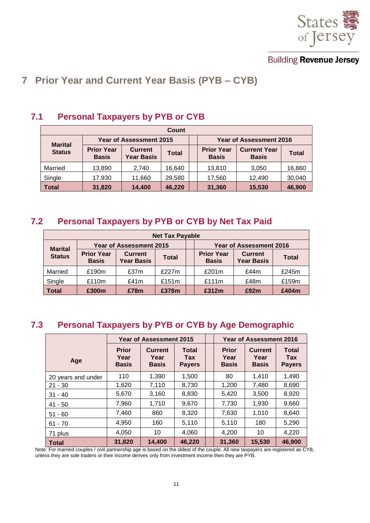

# <span id="page-10-0"></span>**7 Prior Year and Current Year Basis (PYB – CYB)**

| Count                           |                                   |                                     |              |  |                                   |                                     |              |  |  |  |
|---------------------------------|-----------------------------------|-------------------------------------|--------------|--|-----------------------------------|-------------------------------------|--------------|--|--|--|
|                                 | <b>Year of Assessment 2015</b>    |                                     |              |  |                                   | <b>Year of Assessment 2016</b>      |              |  |  |  |
| <b>Marital</b><br><b>Status</b> | <b>Prior Year</b><br><b>Basis</b> | <b>Current</b><br><b>Year Basis</b> | <b>Total</b> |  | <b>Prior Year</b><br><b>Basis</b> | <b>Current Year</b><br><b>Basis</b> | <b>Total</b> |  |  |  |
| Married                         | 13,890                            | 2,740                               | 16,640       |  | 13,810                            | 3,050                               | 16,860       |  |  |  |
| Single                          | 17,930                            | 11,660                              | 29,580       |  | 17,560                            | 12,490                              | 30,040       |  |  |  |
| <b>Total</b>                    | 31,820                            | 14,400                              | 46,220       |  | 31,360                            | 15,530                              | 46,900       |  |  |  |

#### <span id="page-10-1"></span>**7.1 Personal Taxpayers by PYB or CYB**

#### <span id="page-10-2"></span>**7.2 Personal Taxpayers by PYB or CYB by Net Tax Paid**

| <b>Net Tax Payable</b> |                                   |                                     |              |                                   |       |                                     |              |  |  |  |
|------------------------|-----------------------------------|-------------------------------------|--------------|-----------------------------------|-------|-------------------------------------|--------------|--|--|--|
| <b>Marital</b>         |                                   | <b>Year of Assessment 2015</b>      |              | <b>Year of Assessment 2016</b>    |       |                                     |              |  |  |  |
| <b>Status</b>          | <b>Prior Year</b><br><b>Basis</b> | <b>Current</b><br><b>Year Basis</b> | <b>Total</b> | <b>Prior Year</b><br><b>Basis</b> |       | <b>Current</b><br><b>Year Basis</b> | <b>Total</b> |  |  |  |
| Married                | £190m                             | £37m                                | £227m        |                                   | £201m | £44m                                | £245m        |  |  |  |
| Single                 | £110m                             | £41m                                | £151m        |                                   | £111m | £48m                                | £159m        |  |  |  |
| <b>Total</b>           | £300m                             | £78m                                | £378m        |                                   | £312m | £92m                                | £404m        |  |  |  |

# <span id="page-10-3"></span>**7.3 Personal Taxpayers by PYB or CYB by Age Demographic**

|                    | <b>Year of Assessment 2015</b>       |                                        |                                      |  |                                      | <b>Year of Assessment 2016</b>         |                                      |
|--------------------|--------------------------------------|----------------------------------------|--------------------------------------|--|--------------------------------------|----------------------------------------|--------------------------------------|
| Age                | <b>Prior</b><br>Year<br><b>Basis</b> | <b>Current</b><br>Year<br><b>Basis</b> | Total<br><b>Tax</b><br><b>Payers</b> |  | <b>Prior</b><br>Year<br><b>Basis</b> | <b>Current</b><br>Year<br><b>Basis</b> | <b>Total</b><br>Tax<br><b>Payers</b> |
| 20 years and under | 110                                  | 1,390                                  | 1,500                                |  | 80                                   | 1,410                                  | 1,490                                |
| $21 - 30$          | 1,620                                | 7,110                                  | 8,730                                |  | 1,200                                | 7,480                                  | 8,690                                |
| $31 - 40$          | 5,670                                | 3,160                                  | 8,830                                |  | 5,420                                | 3,500                                  | 8,920                                |
| $41 - 50$          | 7,960                                | 1,710                                  | 9,670                                |  | 7,730                                | 1,930                                  | 9,660                                |
| $51 - 60$          | 7,460                                | 860                                    | 8,320                                |  | 7,630                                | 1,010                                  | 8,640                                |
| $61 - 70$          | 4,950                                | 160                                    | 5,110                                |  | 5,110                                | 180                                    | 5,290                                |
| 71 plus            | 4,050                                | 10                                     | 4,060                                |  | 4,200                                | 10                                     | 4,220                                |
| <b>Total</b>       | 31,820                               | 14,400                                 | 46,220                               |  | 31,360                               | 15,530                                 | 46,900                               |

Note: For married couples / civil partnership age is based on the oldest of the couple. All new taxpayers are registered as CYB, unless they are sole traders or their income derives only from investment income then they are PYB.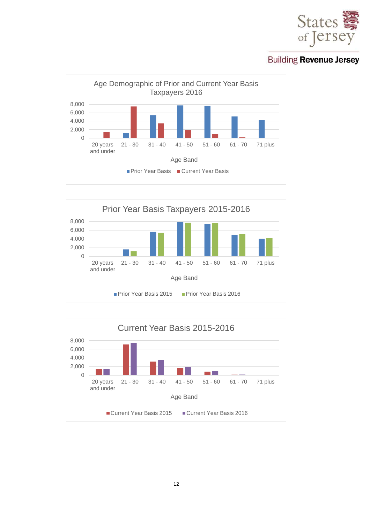





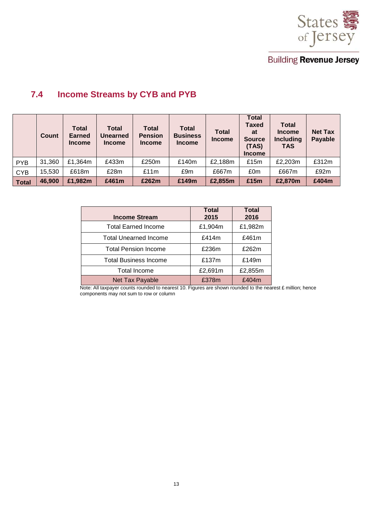

# <span id="page-12-0"></span>**7.4 Income Streams by CYB and PYB**

|              | Count  | <b>Total</b><br><b>Earned</b><br><b>Income</b> | <b>Total</b><br><b>Unearned</b><br><b>Income</b> | Total<br><b>Pension</b><br><b>Income</b> | <b>Total</b><br><b>Business</b><br><b>Income</b> | <b>Total</b><br><b>Income</b> | <b>Total</b><br><b>Taxed</b><br>at<br><b>Source</b><br>(TAS)<br><b>Income</b> | <b>Total</b><br><b>Income</b><br>Including<br><b>TAS</b> | <b>Net Tax</b><br>Payable |
|--------------|--------|------------------------------------------------|--------------------------------------------------|------------------------------------------|--------------------------------------------------|-------------------------------|-------------------------------------------------------------------------------|----------------------------------------------------------|---------------------------|
| <b>PYB</b>   | 31,360 | £1,364m                                        | £433m                                            | £250m                                    | £140m                                            | £2,188m                       | £15m                                                                          | £2,203m                                                  | £312m                     |
| <b>CYB</b>   | 15,530 | £618m                                          | £28m                                             | £11m                                     | £9m                                              | £667m                         | £0m                                                                           | £667m                                                    | £92m                      |
| <b>Total</b> | 46,900 | £1,982m                                        | £461m                                            | £262m                                    | £149m                                            | £2,855m                       | £15m                                                                          | £2,870m                                                  | £404m                     |

| <b>Income Stream</b>         | <b>Total</b><br>2015 | <b>Total</b><br>2016 |
|------------------------------|----------------------|----------------------|
| <b>Total Earned Income</b>   | £1,904m              | £1,982m              |
| <b>Total Unearned Income</b> | £414m                | £461m                |
| <b>Total Pension Income</b>  | £236m                | £262m                |
| <b>Total Business Income</b> | £137m                | £149m                |
| Total Income                 | £2,691m              | £2,855m              |
| Net Tax Payable              | £378m                | £404m                |

Note: All taxpayer counts rounded to nearest 10. Figures are shown rounded to the nearest £ million; hence components may not sum to row or column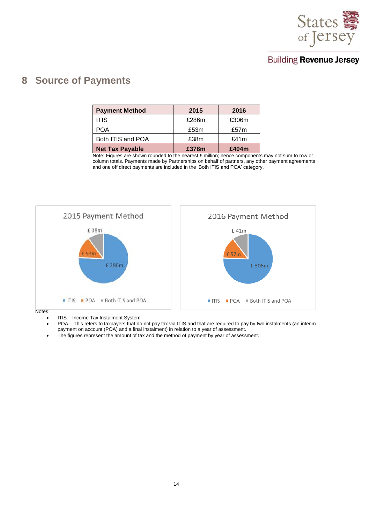

# <span id="page-13-0"></span>**8 Source of Payments**

| <b>Payment Method</b>  | 2015  | 2016    |
|------------------------|-------|---------|
| <b>ITIS</b>            | £286m | £306m   |
| <b>POA</b>             | £53m  | £57m    |
| Both ITIS and POA      | £38m  | £41 $m$ |
| <b>Net Tax Payable</b> | £378m | £404m   |

Note: Figures are shown rounded to the nearest £ million; hence components may not sum to row or column totals. Payments made by Partnerships on behalf of partners, any other payment agreements and one off direct payments are included in the 'Both ITIS and POA' category.



Notes:

- ITIS Income Tax Instalment System
- POA This refers to taxpayers that do not pay tax via ITIS and that are required to pay by two instalments (an interim payment on account (POA) and a final instalment) in relation to a year of assessment.
- The figures represent the amount of tax and the method of payment by year of assessment.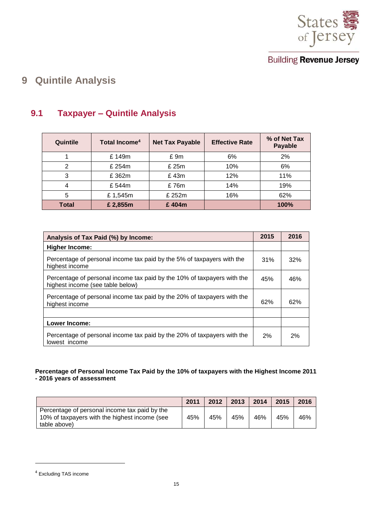

# <span id="page-14-0"></span>**9 Quintile Analysis**

# <span id="page-14-1"></span>**9.1 Taxpayer – Quintile Analysis**

| Quintile     | Total Income <sup>4</sup> | <b>Net Tax Payable</b> | <b>Effective Rate</b> | % of Net Tax<br>Payable |
|--------------|---------------------------|------------------------|-----------------------|-------------------------|
|              | £149m                     | £9m                    | 6%                    | 2%                      |
| 2            | £ 254m                    | £ 25m                  | 10%                   | 6%                      |
| 3            | £362m                     | £43m                   | 12%                   | 11%                     |
| 4            | £544m                     | £76m                   | 14%                   | 19%                     |
| 5            | £1,545m                   | £ 252m                 | 16%                   | 62%                     |
| <b>Total</b> | £2,855m                   | £404m                  |                       | 100%                    |

| Analysis of Tax Paid (%) by Income:                                                                         | 2015 | 2016 |
|-------------------------------------------------------------------------------------------------------------|------|------|
| <b>Higher Income:</b>                                                                                       |      |      |
| Percentage of personal income tax paid by the 5% of taxpayers with the<br>highest income                    | 31%  | 32%  |
| Percentage of personal income tax paid by the 10% of taxpayers with the<br>highest income (see table below) | 45%  | 46%  |
| Percentage of personal income tax paid by the 20% of taxpayers with the<br>highest income                   | 62%  | 62%  |
|                                                                                                             |      |      |
| Lower Income:                                                                                               |      |      |
| Percentage of personal income tax paid by the 20% of taxpayers with the<br>lowest income                    | 2%   | 2%   |

#### **Percentage of Personal Income Tax Paid by the 10% of taxpayers with the Highest Income 2011 - 2016 years of assessment**

|                                                                                                                | 2011 | 2012 | 2013 | 2014 | 2015 | 2016 |
|----------------------------------------------------------------------------------------------------------------|------|------|------|------|------|------|
| Percentage of personal income tax paid by the<br>10% of taxpayers with the highest income (see<br>table above) | 45%  | 45%  | 45%  | 46%  | 45%  | 46%  |

l

<sup>4</sup> Excluding TAS income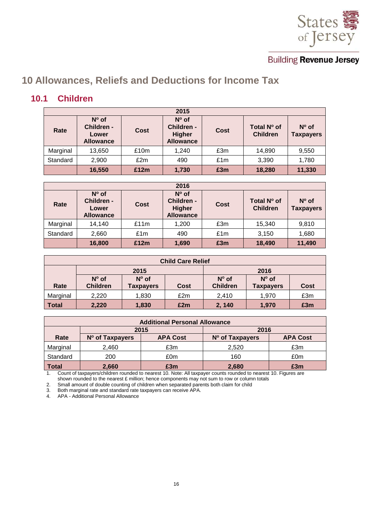

# <span id="page-15-0"></span>**10 Allowances, Reliefs and Deductions for Income Tax**

#### <span id="page-15-1"></span>**10.1 Children**

|          | 2015                                                      |      |                                                            |      |                                |                                    |  |  |  |  |  |
|----------|-----------------------------------------------------------|------|------------------------------------------------------------|------|--------------------------------|------------------------------------|--|--|--|--|--|
| Rate     | $N^{\circ}$ of<br>Children -<br>Lower<br><b>Allowance</b> | Cost | $No$ of<br>Children -<br><b>Higher</b><br><b>Allowance</b> | Cost | Total N° of<br><b>Children</b> | $N^{\circ}$ of<br><b>Taxpayers</b> |  |  |  |  |  |
| Marginal | 13,650                                                    | £10m | 1,240                                                      | £3m  | 14,890                         | 9,550                              |  |  |  |  |  |
| Standard | 2,900                                                     | £2m  | 490                                                        | £1m  | 3,390                          | 1,780                              |  |  |  |  |  |
|          | 16,550                                                    | £12m | 1,730                                                      | £3m  | 18,280                         | 11,330                             |  |  |  |  |  |

| 2016     |                                                           |      |                                                                   |      |                                |                                    |  |  |  |
|----------|-----------------------------------------------------------|------|-------------------------------------------------------------------|------|--------------------------------|------------------------------------|--|--|--|
| Rate     | $N^{\circ}$ of<br>Children -<br>Lower<br><b>Allowance</b> | Cost | $N^{\circ}$ of<br>Children -<br><b>Higher</b><br><b>Allowance</b> | Cost | Total N° of<br><b>Children</b> | $N^{\circ}$ of<br><b>Taxpayers</b> |  |  |  |
| Marginal | 14,140                                                    | £11m | 1,200                                                             | £3m  | 15,340                         | 9,810                              |  |  |  |
| Standard | 2,660                                                     | £1m  | 490                                                               | £1m  | 3,150                          | 1,680                              |  |  |  |
|          | 16,800                                                    | £12m | 1,690                                                             | £3m  | 18,490                         | 11,490                             |  |  |  |

| <b>Child Care Relief</b> |                                   |                                    |             |                                   |                                    |      |  |  |
|--------------------------|-----------------------------------|------------------------------------|-------------|-----------------------------------|------------------------------------|------|--|--|
|                          |                                   | 2015                               | 2016        |                                   |                                    |      |  |  |
| Rate                     | $N^{\circ}$ of<br><b>Children</b> | $N^{\circ}$ of<br><b>Taxpayers</b> | <b>Cost</b> | $N^{\circ}$ of<br><b>Children</b> | $N^{\circ}$ of<br><b>Taxpayers</b> | Cost |  |  |
|                          |                                   |                                    |             |                                   |                                    |      |  |  |
| Marginal                 | 2,220                             | 1,830                              | £2m         | 2,410                             | 1,970                              | £3m  |  |  |
| <b>Total</b>             | 2,220                             | 1,830                              | £2m         | 2, 140                            | 1,970                              | £3m  |  |  |

| <b>Additional Personal Allowance</b> |                                                                          |      |       |     |  |  |  |  |
|--------------------------------------|--------------------------------------------------------------------------|------|-------|-----|--|--|--|--|
|                                      | 2015                                                                     | 2016 |       |     |  |  |  |  |
| Rate                                 | <b>APA Cost</b><br><b>APA Cost</b><br>N° of Taxpayers<br>N° of Taxpayers |      |       |     |  |  |  |  |
| Marginal                             | 2.460                                                                    | £3m  | 2.520 | £3m |  |  |  |  |
| Standard                             | 200                                                                      | £0m  | 160   | £0m |  |  |  |  |
| <b>Total</b>                         | 2,660                                                                    | £3m  | 2,680 | £3m |  |  |  |  |

1. Count of taxpayers/children rounded to nearest 10. Note: All taxpayer counts rounded to nearest 10. Figures are shown rounded to the nearest £ million; hence components may not sum to row or column totals

2. Small amount of double counting of children when separated parents both claim for child

3. Both marginal rate and standard rate taxpayers can receive APA.

4. APA - Additional Personal Allowance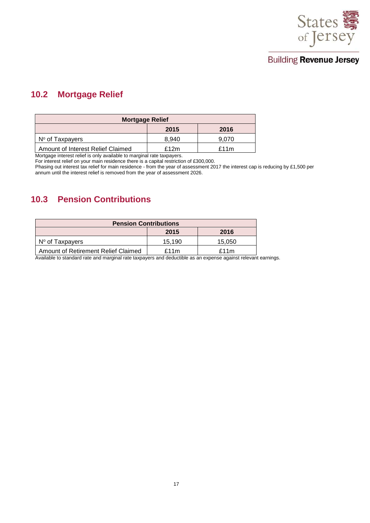

#### <span id="page-16-0"></span>**10.2 Mortgage Relief**

| <b>Mortgage Relief</b>            |       |       |  |  |  |
|-----------------------------------|-------|-------|--|--|--|
|                                   | 2015  | 2016  |  |  |  |
| $No$ of Taxpayers                 | 8.940 | 9.070 |  |  |  |
| Amount of Interest Relief Claimed | £12m  | £11m  |  |  |  |

Mortgage interest relief is only available to marginal rate taxpayers.

For interest relief on your main residence there is a capital restriction of £300,000.

Phasing out interest tax relief for main residence - from the year of assessment 2017 the interest cap is reducing by £1,500 per annum until the interest relief is removed from the year of assessment 2026.

#### <span id="page-16-1"></span>**10.3 Pension Contributions**

| <b>Pension Contributions</b>        |        |        |  |  |  |  |
|-------------------------------------|--------|--------|--|--|--|--|
|                                     | 2015   | 2016   |  |  |  |  |
| $N°$ of Taxpayers                   | 15.190 | 15.050 |  |  |  |  |
| Amount of Retirement Relief Claimed | £11m   | £11m   |  |  |  |  |

Available to standard rate and marginal rate taxpayers and deductible as an expense against relevant earnings.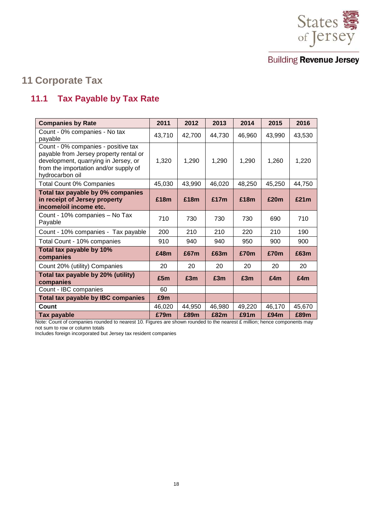

# <span id="page-17-0"></span>**11 Corporate Tax**

## <span id="page-17-1"></span>**11.1 Tax Payable by Tax Rate**

| <b>Companies by Rate</b>                                                                                                                                                          | 2011   | 2012   | 2013   | 2014   | 2015   | 2016   |
|-----------------------------------------------------------------------------------------------------------------------------------------------------------------------------------|--------|--------|--------|--------|--------|--------|
| Count - 0% companies - No tax<br>payable                                                                                                                                          | 43,710 | 42,700 | 44,730 | 46,960 | 43,990 | 43,530 |
| Count - 0% companies - positive tax<br>payable from Jersey property rental or<br>development, quarrying in Jersey, or<br>from the importation and/or supply of<br>hydrocarbon oil | 1,320  | 1,290  | 1,290  | 1,290  | 1,260  | 1,220  |
| <b>Total Count 0% Companies</b>                                                                                                                                                   | 45,030 | 43,990 | 46,020 | 48,250 | 45,250 | 44,750 |
| Total tax payable by 0% companies<br>in receipt of Jersey property<br>income/oil income etc.                                                                                      | £18m   | £18m   | £17m   | £18m   | £20m   | £21m   |
| Count - 10% companies - No Tax<br>Payable                                                                                                                                         | 710    | 730    | 730    | 730    | 690    | 710    |
| Count - 10% companies - Tax payable                                                                                                                                               | 200    | 210    | 210    | 220    | 210    | 190    |
| Total Count - 10% companies                                                                                                                                                       | 910    | 940    | 940    | 950    | 900    | 900    |
| Total tax payable by 10%<br>companies                                                                                                                                             | £48m   | £67m   | £63m   | £70m   | £70m   | £63m   |
| Count 20% (utility) Companies                                                                                                                                                     | 20     | 20     | 20     | 20     | 20     | 20     |
| Total tax payable by 20% (utility)<br>companies                                                                                                                                   | £5m    | £3m    | £3m    | £3m    | £4m    | £4m    |
| Count - IBC companies                                                                                                                                                             | 60     |        |        |        |        |        |
| <b>Total tax payable by IBC companies</b>                                                                                                                                         | £9m    |        |        |        |        |        |
| <b>Count</b>                                                                                                                                                                      | 46,020 | 44,950 | 46,980 | 49,220 | 46,170 | 45,670 |
| Tax payable                                                                                                                                                                       | £79m   | £89m   | £82m   | £91m   | £94m   | £89m   |

Note: Count of companies rounded to nearest 10. Figures are shown rounded to the nearest £ million; hence components may not sum to row or column totals

Includes foreign incorporated but Jersey tax resident companies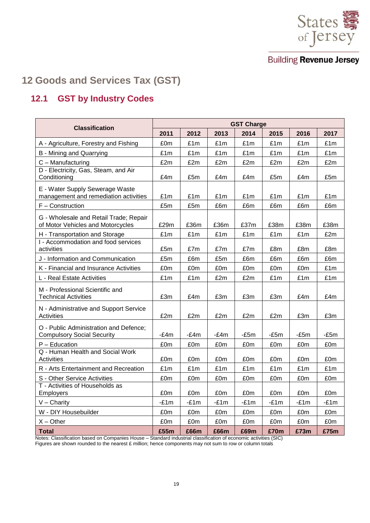

# <span id="page-18-0"></span>**12 Goods and Services Tax (GST)**

## <span id="page-18-1"></span>**12.1 GST by Industry Codes**

| <b>Classification</b>                                                       | <b>GST Charge</b> |        |        |        |        |        |        |  |
|-----------------------------------------------------------------------------|-------------------|--------|--------|--------|--------|--------|--------|--|
|                                                                             | 2011              | 2012   | 2013   | 2014   | 2015   | 2016   | 2017   |  |
| A - Agriculture, Forestry and Fishing                                       | £0m               | £1m    | £1m    | £1m    | £1m    | £1m    | £1m    |  |
| B - Mining and Quarrying                                                    | £1m               | £1m    | £1m    | £1m    | £1m    | £1m    | £1m    |  |
| C - Manufacturing                                                           | £2m               | £2m    | £2m    | £2m    | £2m    | £2m    | £2m    |  |
| D - Electricity, Gas, Steam, and Air<br>Conditioning                        | £4m               | £5m    | £4m    | £4m    | £5m    | £4m    | £5m    |  |
| E - Water Supply Sewerage Waste<br>management and remediation activities    | £1m               | £1m    | £1m    | £1m    | £1m    | £1m    | £1m    |  |
| F - Construction                                                            | £5m               | £5m    | £6m    | £6m    | £6m    | £6m    | £6m    |  |
| G - Wholesale and Retail Trade; Repair<br>of Motor Vehicles and Motorcycles | £29m              | £36m   | £36m   | £37m   | £38m   | £38m   | £38m   |  |
| H - Transportation and Storage                                              | £1m               | £1m    | £1m    | £1m    | £1m    | £1m    | £2m    |  |
| I - Accommodation and food services<br>activities                           | £5m               | £7m    | £7m    | £7m    | £8m    | £8m    | £8m    |  |
| J - Information and Communication                                           | £5m               | £6m    | £5m    | £6m    | £6m    | £6m    | £6m    |  |
| K - Financial and Insurance Activities                                      | £0m               | £0m    | £0m    | £0m    | £0m    | £0m    | £1m    |  |
| L - Real Estate Activities                                                  | £1m               | £1m    | £2m    | £2m    | £1m    | £1m    | £1m    |  |
| M - Professional Scientific and<br><b>Technical Activities</b>              | £3m               | £4m    | £3m    | £3m    | £3m    | £4m    | £4m    |  |
| N - Administrative and Support Service<br><b>Activities</b>                 | £2m               | £2m    | £2m    | £2m    | £2m    | £3m    | £3m    |  |
| O - Public Administration and Defence;<br><b>Compulsory Social Security</b> | $-E4m$            | -£4m   | $-E4m$ | $-E5m$ | $-E5m$ | $-E5m$ | $-E5m$ |  |
| P - Education                                                               | £0m               | £0m    | £0m    | £0m    | £0m    | £0m    | £0m    |  |
| Q - Human Health and Social Work<br><b>Activities</b>                       | £0m               | £0m    | £0m    | £0m    | £0m    | £0m    | £0m    |  |
| R - Arts Entertainment and Recreation                                       | £1m               | £1m    | £1m    | £1m    | £1m    | £1m    | £1m    |  |
| S - Other Service Activities                                                | £0m               | £0m    | £0m    | £0m    | £0m    | £0m    | £0m    |  |
| T - Activities of Households as<br>Employers                                | £0m               | £0m    | £0m    | £0m    | £0m    | £0m    | £0m    |  |
| $V -$ Charity                                                               | $-E1m$            | $-E1m$ | $-E1m$ | $-E1m$ | $-E1m$ | $-E1m$ | $-E1m$ |  |
| W - DIY Housebuilder                                                        | £0m               | £0m    | £0m    | £0m    | £0m    | £0m    | £0m    |  |
| $X - Other$                                                                 | £0m               | £0m    | £0m    | £0m    | £0m    | £0m    | £0m    |  |
| <b>Total</b>                                                                | £55m              | £66m   | £66m   | £69m   | £70m   | £73m   | £75m   |  |

Notes: Classification based on Companies House – Standard industrial classification of economic activities (SIC) Figures are shown rounded to the nearest £ million; hence components may not sum to row or column totals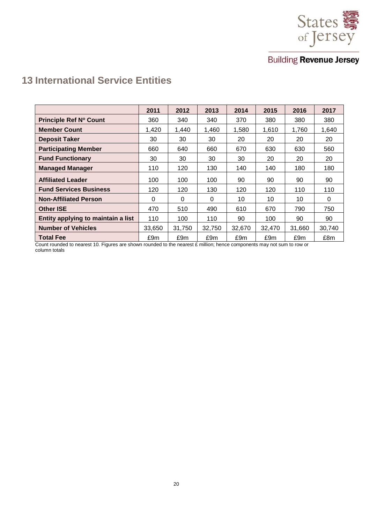

# <span id="page-19-0"></span>**13 International Service Entities**

|                                    | 2011   | 2012   | 2013     | 2014   | 2015   | 2016   | 2017   |
|------------------------------------|--------|--------|----------|--------|--------|--------|--------|
| Principle Ref Nº Count             | 360    | 340    | 340      | 370    | 380    | 380    | 380    |
| <b>Member Count</b>                | 1,420  | 1,440  | 1,460    | 1,580  | 1,610  | 1,760  | 1,640  |
| <b>Deposit Taker</b>               | 30     | 30     | 30       | 20     | 20     | 20     | 20     |
| <b>Participating Member</b>        | 660    | 640    | 660      | 670    | 630    | 630    | 560    |
| <b>Fund Functionary</b>            | 30     | 30     | 30       | 30     | 20     | 20     | 20     |
| <b>Managed Manager</b>             | 110    | 120    | 130      | 140    | 140    | 180    | 180    |
| <b>Affiliated Leader</b>           | 100    | 100    | 100      | 90     | 90     | 90     | 90     |
| <b>Fund Services Business</b>      | 120    | 120    | 130      | 120    | 120    | 110    | 110    |
| <b>Non-Affiliated Person</b>       | 0      | 0      | $\Omega$ | 10     | 10     | 10     | 0      |
| <b>Other ISE</b>                   | 470    | 510    | 490      | 610    | 670    | 790    | 750    |
| Entity applying to maintain a list | 110    | 100    | 110      | 90     | 100    | 90     | 90     |
| <b>Number of Vehicles</b>          | 33,650 | 31,750 | 32,750   | 32,670 | 32,470 | 31,660 | 30,740 |
| <b>Total Fee</b>                   | £9m    | £9m    | £9m      | £9m    | £9m    | £9m    | £8m    |

Count rounded to nearest 10. Figures are shown rounded to the nearest £ million; hence components may not sum to row or column totals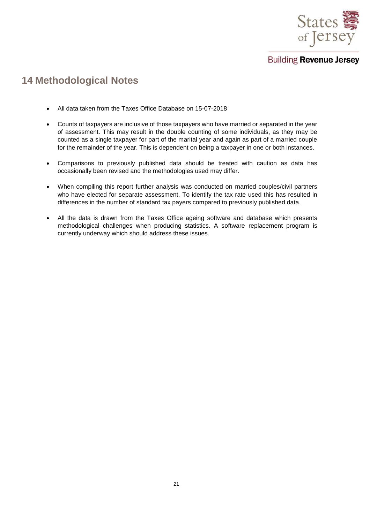

# <span id="page-20-0"></span>**14 Methodological Notes**

- All data taken from the Taxes Office Database on 15-07-2018
- Counts of taxpayers are inclusive of those taxpayers who have married or separated in the year of assessment. This may result in the double counting of some individuals, as they may be counted as a single taxpayer for part of the marital year and again as part of a married couple for the remainder of the year. This is dependent on being a taxpayer in one or both instances.
- Comparisons to previously published data should be treated with caution as data has occasionally been revised and the methodologies used may differ.
- When compiling this report further analysis was conducted on married couples/civil partners who have elected for separate assessment. To identify the tax rate used this has resulted in differences in the number of standard tax payers compared to previously published data.
- All the data is drawn from the Taxes Office ageing software and database which presents methodological challenges when producing statistics. A software replacement program is currently underway which should address these issues.